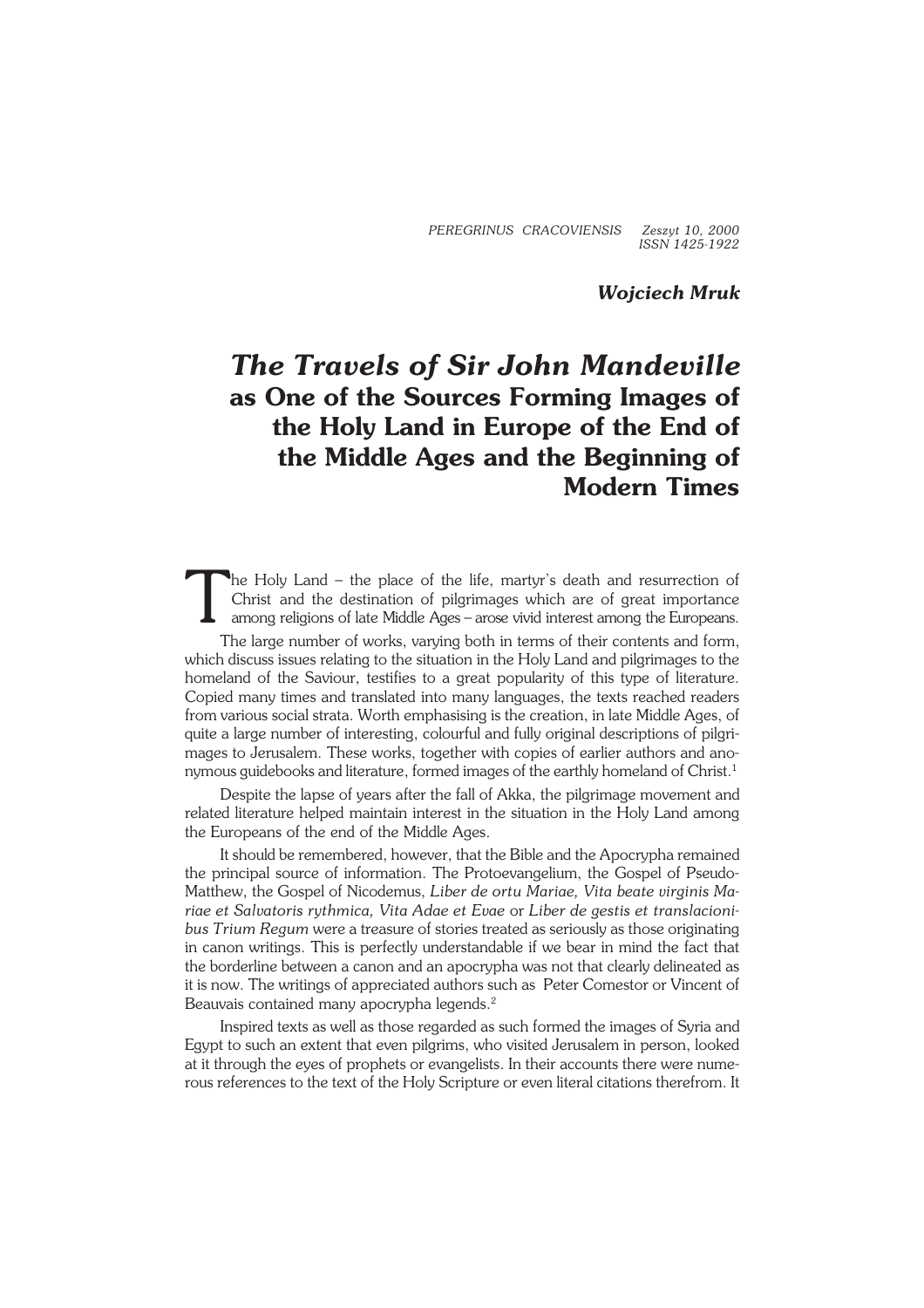*PEREGRINUS CRACOVIENSIS Zeszyt 10, 2000 ISSN 1425−1922*

*Wojciech Mruk*

## *The Travels of Sir John Mandeville* **as One of the Sources Forming Images of the Holy Land in Europe of the End of the Middle Ages and the Beginning of Modern Times**

T he Holy Land – the place of the life, martyr's death and resurrection of Christ and the destination of pilgrimages which are of great importance among religions of late Middle Ages – arose vivid interest among the Europeans.

The large number of works, varying both in terms of their contents and form, which discuss issues relating to the situation in the Holy Land and pilgrimages to the homeland of the Saviour, testifies to a great popularity of this type of literature. Copied many times and translated into many languages, the texts reached readers from various social strata. Worth emphasising is the creation, in late Middle Ages, of quite a large number of interesting, colourful and fully original descriptions of pilgri− mages to Jerusalem. These works, together with copies of earlier authors and ano− nymous guidebooks and literature, formed images of the earthly homeland of Christ.<sup>1</sup>

Despite the lapse of years after the fall of Akka, the pilgrimage movement and related literature helped maintain interest in the situation in the Holy Land among the Europeans of the end of the Middle Ages.

It should be remembered, however, that the Bible and the Apocrypha remained the principal source of information. The Protoevangelium, the Gospel of Pseudo− Matthew, the Gospel of Nicodemus, *Liber de ortu Mariae, Vita beate virginis Ma− riae et Salvatoris rythmica, Vita Adae et Evae* or *Liber de gestis et translacioni− bus Trium Regum* were a treasure of stories treated as seriously as those originating in canon writings. This is perfectly understandable if we bear in mind the fact that the borderline between a canon and an apocrypha was not that clearly delineated as it is now. The writings of appreciated authors such as Peter Comestor or Vincent of Beauvais contained many apocrypha legends.<sup>2</sup>

Inspired texts as well as those regarded as such formed the images of Syria and Egypt to such an extent that even pilgrims, who visited Jerusalem in person, looked at it through the eyes of prophets or evangelists. In their accounts there were nume− rous references to the text of the Holy Scripture or even literal citations therefrom. It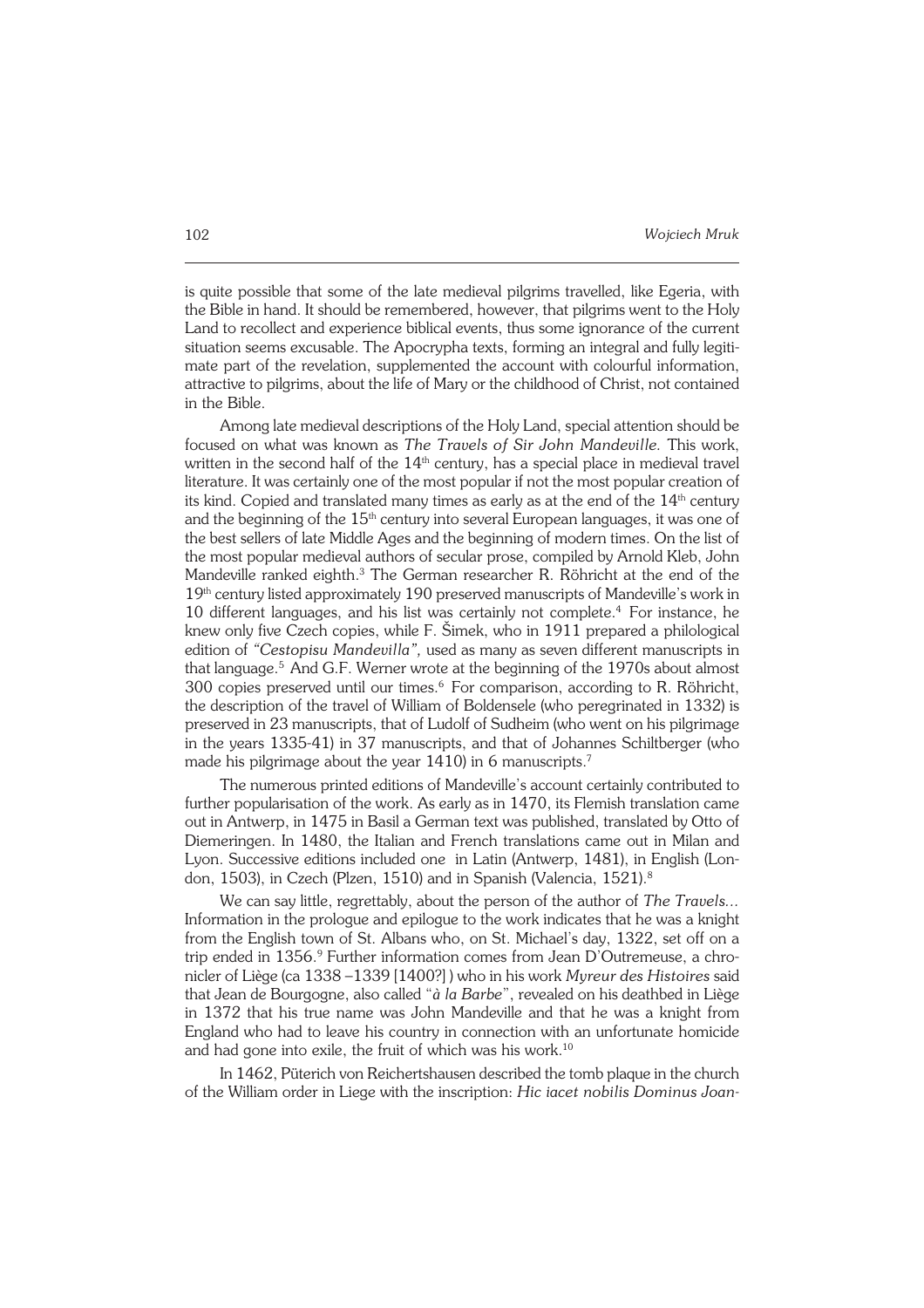is quite possible that some of the late medieval pilgrims travelled, like Egeria, with the Bible in hand. It should be remembered, however, that pilgrims went to the Holy Land to recollect and experience biblical events, thus some ignorance of the current situation seems excusable. The Apocrypha texts, forming an integral and fully legiti− mate part of the revelation, supplemented the account with colourful information, attractive to pilgrims, about the life of Mary or the childhood of Christ, not contained in the Bible.

Among late medieval descriptions of the Holy Land, special attention should be focused on what was known as *The Travels of Sir John Mandeville.* This work, written in the second half of the  $14<sup>th</sup>$  century, has a special place in medieval travel literature. It was certainly one of the most popular if not the most popular creation of its kind. Copied and translated many times as early as at the end of the  $14<sup>th</sup>$  century and the beginning of the  $15<sup>th</sup>$  century into several European languages, it was one of the best sellers of late Middle Ages and the beginning of modern times. On the list of the most popular medieval authors of secular prose, compiled by Arnold Kleb, John Mandeville ranked eighth.<sup>3</sup> The German researcher R. Röhricht at the end of the 19<sup>th</sup> century listed approximately 190 preserved manuscripts of Mandeville's work in 10 different languages, and his list was certainly not complete.<sup>4</sup> For instance, he knew only five Czech copies, while F. Šimek, who in 1911 prepared a philological edition of *"Cestopisu Mandevilla",* used as many as seven different manuscripts in that language.<sup>5</sup> And G.F. Werner wrote at the beginning of the 1970s about almost 300 copies preserved until our times.<sup>6</sup> For comparison, according to R. Röhricht, the description of the travel of William of Boldensele (who peregrinated in 1332) is preserved in 23 manuscripts, that of Ludolf of Sudheim (who went on his pilgrimage in the years 1335−41) in 37 manuscripts, and that of Johannes Schiltberger (who made his pilgrimage about the year 1410) in 6 manuscripts.<sup>7</sup>

The numerous printed editions of Mandeville's account certainly contributed to further popularisation of the work. As early as in 1470, its Flemish translation came out in Antwerp, in 1475 in Basil a German text was published, translated by Otto of Diemeringen. In 1480, the Italian and French translations came out in Milan and Lyon. Successive editions included one in Latin (Antwerp, 1481), in English (Lon− don, 1503), in Czech (Plzen, 1510) and in Spanish (Valencia, 1521).<sup>8</sup>

We can say little, regrettably, about the person of the author of *The Travels...* Information in the prologue and epilogue to the work indicates that he was a knight from the English town of St. Albans who, on St. Michael's day, 1322, set off on a trip ended in 1356.<sup>9</sup> Further information comes from Jean D'Outremeuse, a chronicler of Liège (ca 1338 –1339 [1400?] ) who in his work *Myreur des Histoires* said that Jean de Bourgogne, also called "*à la Barbe*", revealed on his deathbed in Liège in 1372 that his true name was John Mandeville and that he was a knight from England who had to leave his country in connection with an unfortunate homicide and had gone into exile, the fruit of which was his work.<sup>10</sup>

In 1462, Püterich von Reichertshausen described the tomb plaque in the church of the William order in Liege with the inscription: *Hic iacet nobilis Dominus Joan−*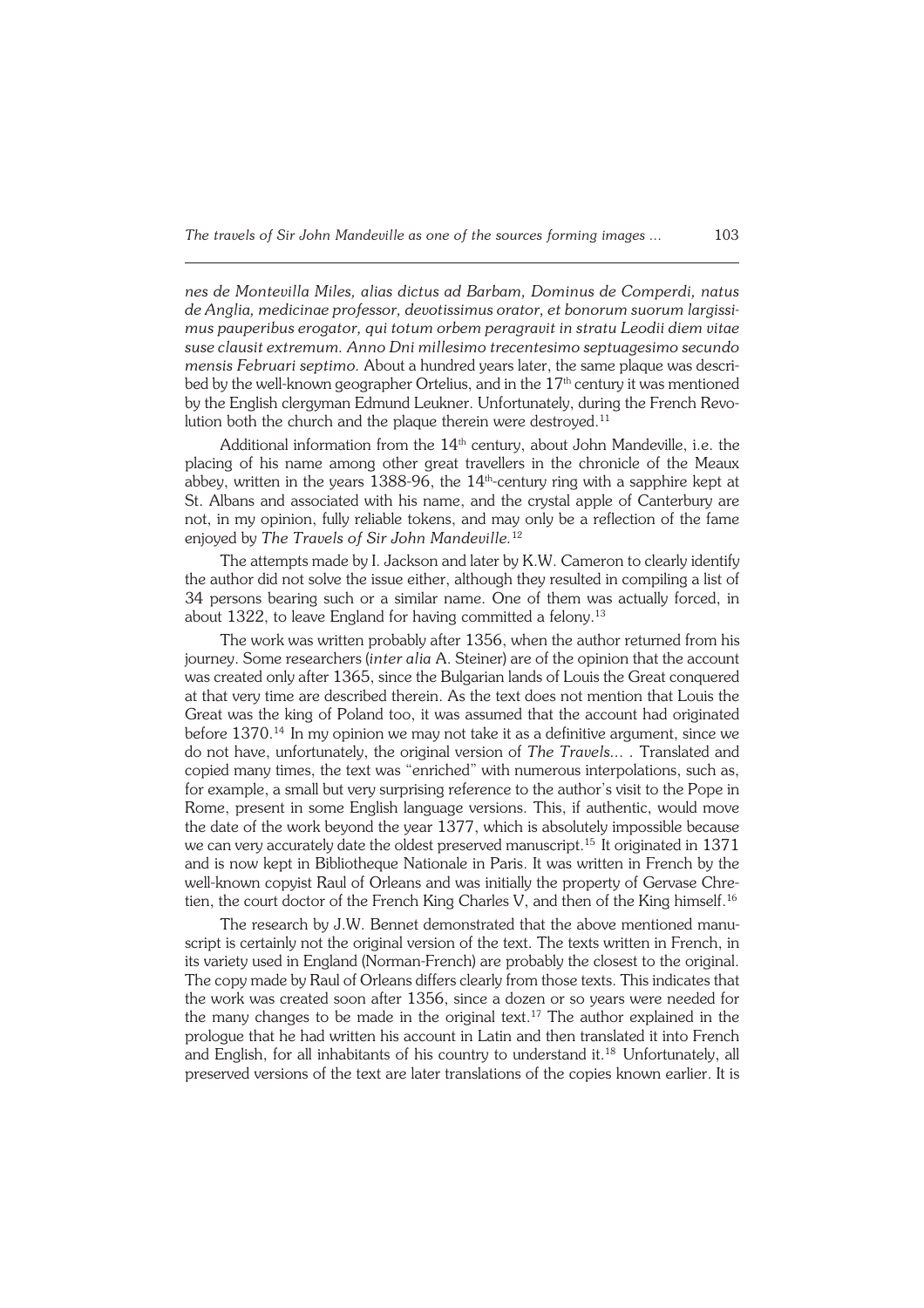*nes de Montevilla Miles, alias dictus ad Barbam, Dominus de Comperdi, natus de Anglia, medicinae professor, devotissimus orator, et bonorum suorum largissi− mus pauperibus erogator, qui totum orbem peragravit in stratu Leodii diem vitae suse clausit extremum. Anno Dni millesimo trecentesimo septuagesimo secundo mensis Februari septimo.* About a hundred years later, the same plaque was descri− bed by the well-known geographer Ortelius, and in the 17<sup>th</sup> century it was mentioned by the English clergyman Edmund Leukner. Unfortunately, during the French Revo− lution both the church and the plaque therein were destroyed.<sup>11</sup>

Additional information from the  $14<sup>th</sup>$  century, about John Mandeville, i.e. the placing of his name among other great travellers in the chronicle of the Meaux abbey, written in the years 1388-96, the  $14<sup>th</sup>$ -century ring with a sapphire kept at St. Albans and associated with his name, and the crystal apple of Canterbury are not, in my opinion, fully reliable tokens, and may only be a reflection of the fame enjoyed by *The Travels of Sir John Mandeville.*<sup>12</sup>

The attempts made by I. Jackson and later by K.W. Cameron to clearly identify the author did not solve the issue either, although they resulted in compiling a list of 34 persons bearing such or a similar name. One of them was actually forced, in about 1322, to leave England for having committed a felony.<sup>13</sup>

The work was written probably after 1356, when the author returned from his journey. Some researchers (*inter alia* A. Steiner) are of the opinion that the account was created only after 1365, since the Bulgarian lands of Louis the Great conquered at that very time are described therein. As the text does not mention that Louis the Great was the king of Poland too, it was assumed that the account had originated before  $1370<sup>14</sup>$  In my opinion we may not take it as a definitive argument, since we do not have, unfortunately, the original version of *The Travels... .* Translated and copied many times, the text was "enriched" with numerous interpolations, such as, for example, a small but very surprising reference to the author's visit to the Pope in Rome, present in some English language versions. This, if authentic, would move the date of the work beyond the year 1377, which is absolutely impossible because we can very accurately date the oldest preserved manuscript.15 It originated in 1371 and is now kept in Bibliotheque Nationale in Paris. It was written in French by the well−known copyist Raul of Orleans and was initially the property of Gervase Chre− tien, the court doctor of the French King Charles V, and then of the King himself.<sup>16</sup>

The research by J.W. Bennet demonstrated that the above mentioned manuscript is certainly not the original version of the text. The texts written in French, in its variety used in England (Norman−French) are probably the closest to the original. The copy made by Raul of Orleans differs clearly from those texts. This indicates that the work was created soon after 1356, since a dozen or so years were needed for the many changes to be made in the original text.<sup>17</sup> The author explained in the prologue that he had written his account in Latin and then translated it into French and English, for all inhabitants of his country to understand it.18 Unfortunately, all preserved versions of the text are later translations of the copies known earlier. It is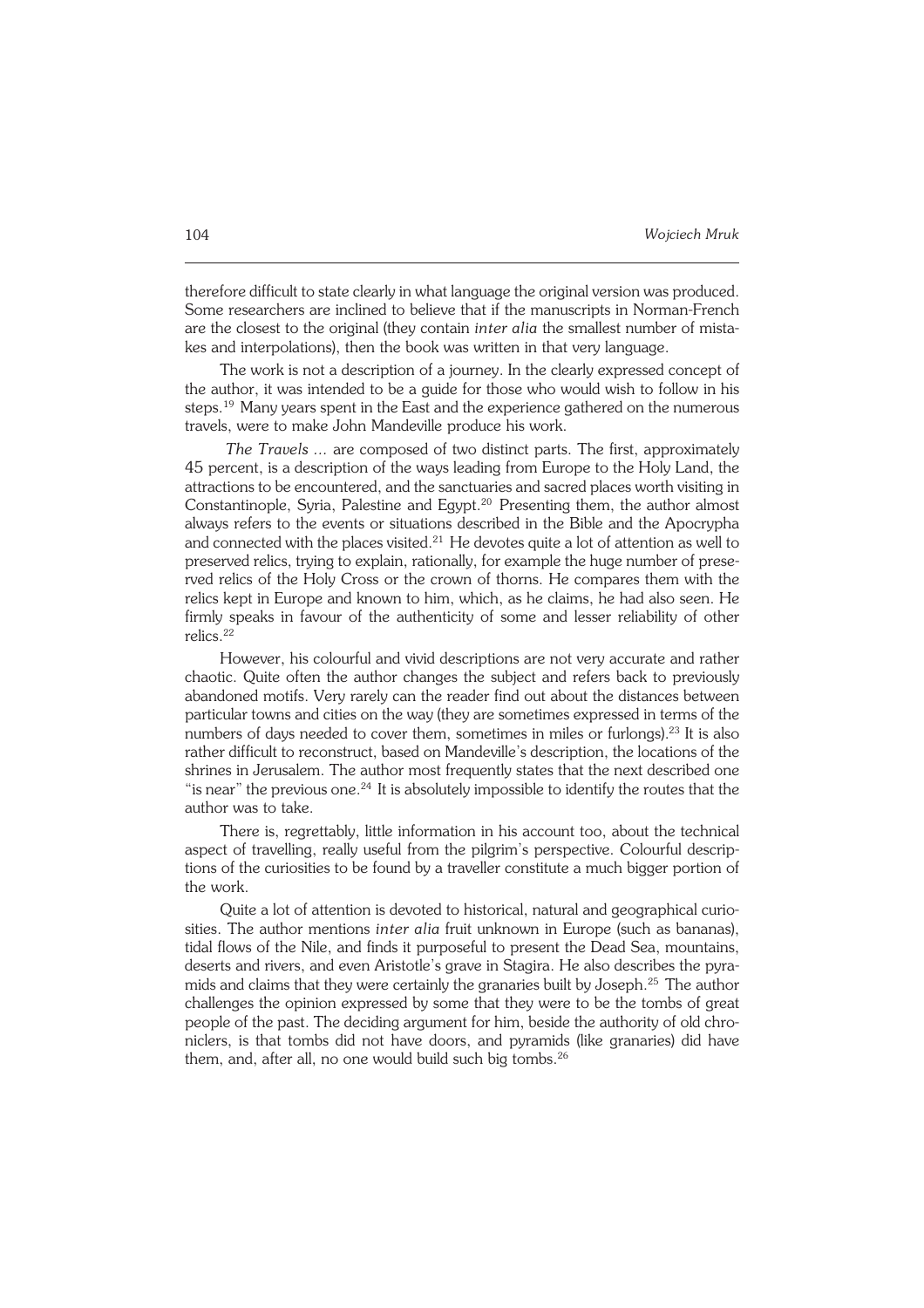therefore difficult to state clearly in what language the original version was produced. Some researchers are inclined to believe that if the manuscripts in Norman−French are the closest to the original (they contain *inter alia* the smallest number of mista− kes and interpolations), then the book was written in that very language.

The work is not a description of a journey. In the clearly expressed concept of the author, it was intended to be a guide for those who would wish to follow in his steps.<sup>19</sup> Many years spent in the East and the experience gathered on the numerous travels, were to make John Mandeville produce his work.

*The Travels ...* are composed of two distinct parts. The first, approximately 45 percent, is a description of the ways leading from Europe to the Holy Land, the attractions to be encountered, and the sanctuaries and sacred places worth visiting in Constantinople, Syria, Palestine and Egypt.<sup>20</sup> Presenting them, the author almost always refers to the events or situations described in the Bible and the Apocrypha and connected with the places visited.<sup>21</sup> He devotes quite a lot of attention as well to preserved relics, trying to explain, rationally, for example the huge number of prese− rved relics of the Holy Cross or the crown of thorns. He compares them with the relics kept in Europe and known to him, which, as he claims, he had also seen. He firmly speaks in favour of the authenticity of some and lesser reliability of other relics.<sup>22</sup>

However, his colourful and vivid descriptions are not very accurate and rather chaotic. Quite often the author changes the subject and refers back to previously abandoned motifs. Very rarely can the reader find out about the distances between particular towns and cities on the way (they are sometimes expressed in terms of the numbers of days needed to cover them, sometimes in miles or furlongs).<sup>23</sup> It is also rather difficult to reconstruct, based on Mandeville's description, the locations of the shrines in Jerusalem. The author most frequently states that the next described one "is near" the previous one.<sup>24</sup> It is absolutely impossible to identify the routes that the author was to take.

There is, regrettably, little information in his account too, about the technical aspect of travelling, really useful from the pilgrim's perspective. Colourful descrip− tions of the curiosities to be found by a traveller constitute a much bigger portion of the work.

Quite a lot of attention is devoted to historical, natural and geographical curio− sities. The author mentions *inter alia* fruit unknown in Europe (such as bananas), tidal flows of the Nile, and finds it purposeful to present the Dead Sea, mountains, deserts and rivers, and even Aristotle's grave in Stagira. He also describes the pyra− mids and claims that they were certainly the granaries built by Joseph.25 The author challenges the opinion expressed by some that they were to be the tombs of great people of the past. The deciding argument for him, beside the authority of old chroniclers, is that tombs did not have doors, and pyramids (like granaries) did have them, and, after all, no one would build such big tombs.<sup>26</sup>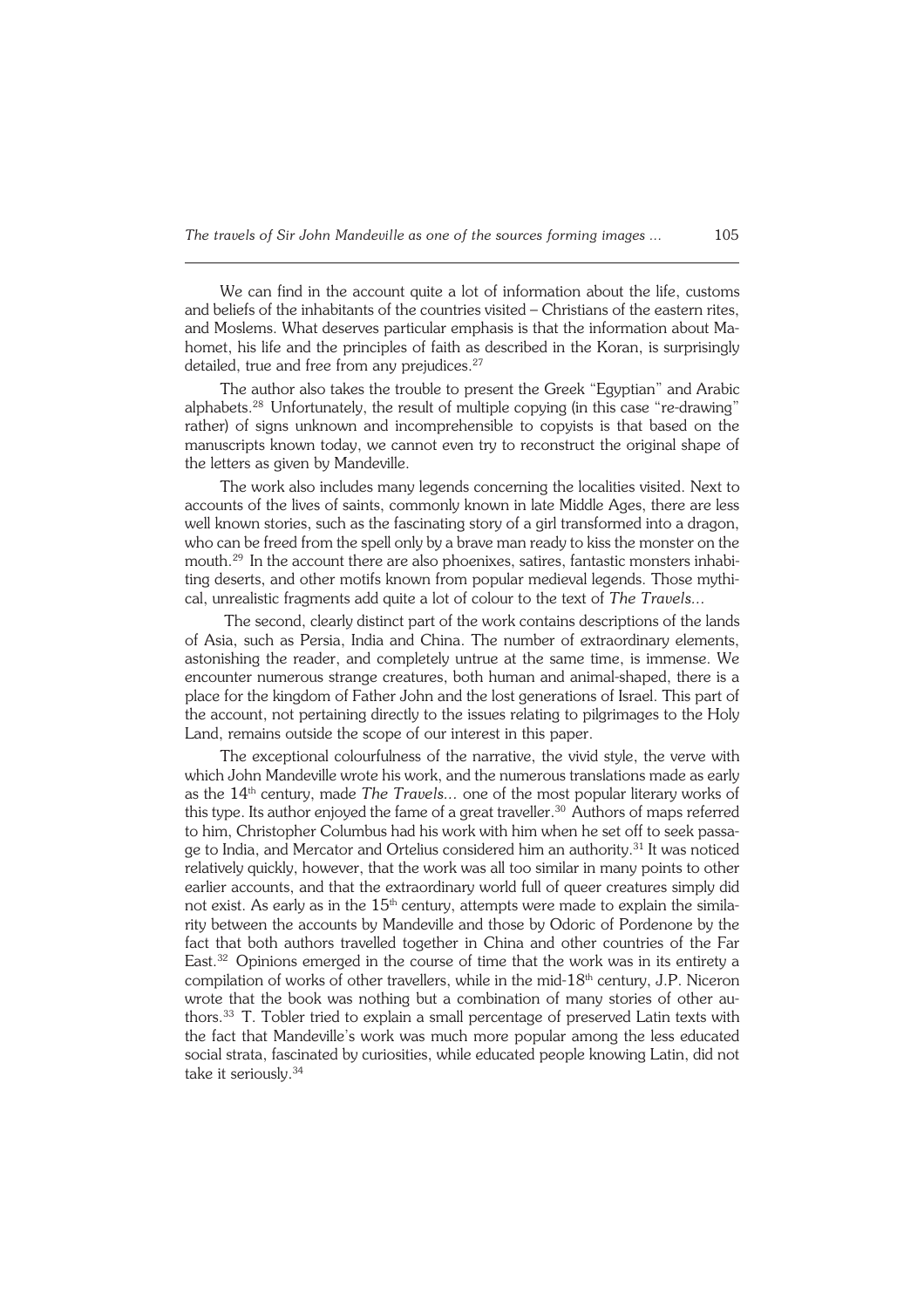We can find in the account quite a lot of information about the life, customs and beliefs of the inhabitants of the countries visited – Christians of the eastern rites, and Moslems. What deserves particular emphasis is that the information about Ma− homet, his life and the principles of faith as described in the Koran, is surprisingly detailed, true and free from any prejudices.<sup>27</sup>

The author also takes the trouble to present the Greek "Egyptian" and Arabic alphabets.28 Unfortunately, the result of multiple copying (in this case "re−drawing" rather) of signs unknown and incomprehensible to copyists is that based on the manuscripts known today, we cannot even try to reconstruct the original shape of the letters as given by Mandeville.

The work also includes many legends concerning the localities visited. Next to accounts of the lives of saints, commonly known in late Middle Ages, there are less well known stories, such as the fascinating story of a girl transformed into a dragon, who can be freed from the spell only by a brave man ready to kiss the monster on the mouth.<sup>29</sup> In the account there are also phoenixes, satires, fantastic monsters inhabiting deserts, and other motifs known from popular medieval legends. Those mythi− cal, unrealistic fragments add quite a lot of colour to the text of *The Travels...*

 The second, clearly distinct part of the work contains descriptions of the lands of Asia, such as Persia, India and China. The number of extraordinary elements, astonishing the reader, and completely untrue at the same time, is immense. We encounter numerous strange creatures, both human and animal−shaped, there is a place for the kingdom of Father John and the lost generations of Israel. This part of the account, not pertaining directly to the issues relating to pilgrimages to the Holy Land, remains outside the scope of our interest in this paper.

The exceptional colourfulness of the narrative, the vivid style, the verve with which John Mandeville wrote his work, and the numerous translations made as early as the 14th century, made *The Travels...* one of the most popular literary works of this type. Its author enjoyed the fame of a great traveller.<sup>30</sup> Authors of maps referred to him, Christopher Columbus had his work with him when he set off to seek passa− ge to India, and Mercator and Ortelius considered him an authority.31 It was noticed relatively quickly, however, that the work was all too similar in many points to other earlier accounts, and that the extraordinary world full of queer creatures simply did not exist. As early as in the  $15<sup>th</sup>$  century, attempts were made to explain the similarity between the accounts by Mandeville and those by Odoric of Pordenone by the fact that both authors travelled together in China and other countries of the Far East.<sup>32</sup> Opinions emerged in the course of time that the work was in its entirety a compilation of works of other travellers, while in the mid-18<sup>th</sup> century, J.P. Niceron wrote that the book was nothing but a combination of many stories of other authors.<sup>33</sup> T. Tobler tried to explain a small percentage of preserved Latin texts with the fact that Mandeville's work was much more popular among the less educated social strata, fascinated by curiosities, while educated people knowing Latin, did not take it seriously.34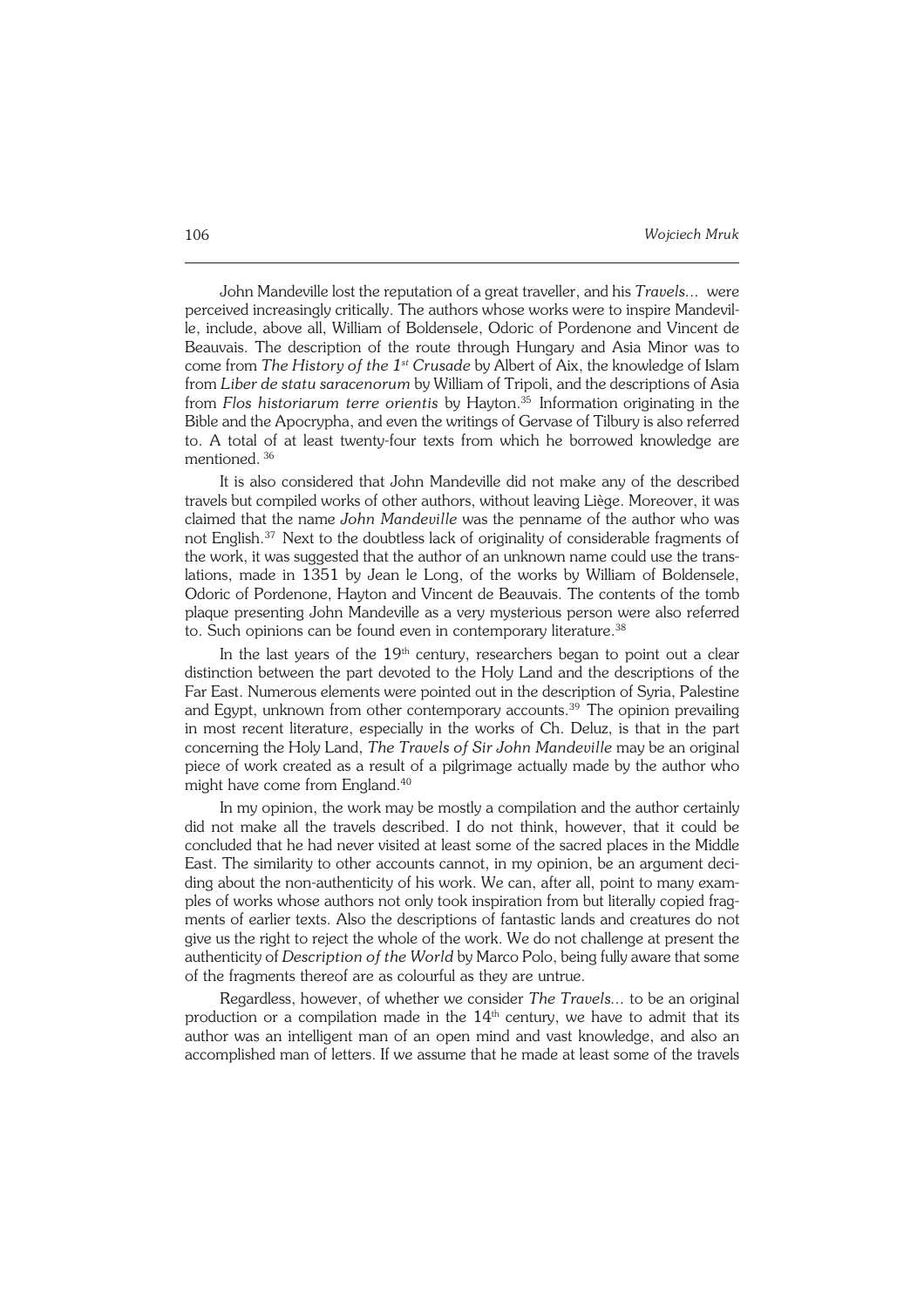John Mandeville lost the reputation of a great traveller, and his *Travels...* were perceived increasingly critically. The authors whose works were to inspire Mandevil− le, include, above all, William of Boldensele, Odoric of Pordenone and Vincent de Beauvais. The description of the route through Hungary and Asia Minor was to come from *The History of the 1st Crusade* by Albert of Aix, the knowledge of Islam from *Liber de statu saracenorum* by William of Tripoli, and the descriptions of Asia from *Flos historiarum terre orientis* by Hayton.<sup>35</sup> Information originating in the Bible and the Apocrypha, and even the writings of Gervase of Tilbury is also referred to. A total of at least twenty−four texts from which he borrowed knowledge are mentioned.<sup>36</sup>

It is also considered that John Mandeville did not make any of the described travels but compiled works of other authors, without leaving Liège. Moreover, it was claimed that the name *John Mandeville* was the penname of the author who was not English.37 Next to the doubtless lack of originality of considerable fragments of the work, it was suggested that the author of an unknown name could use the trans− lations, made in 1351 by Jean le Long, of the works by William of Boldensele, Odoric of Pordenone, Hayton and Vincent de Beauvais. The contents of the tomb plaque presenting John Mandeville as a very mysterious person were also referred to. Such opinions can be found even in contemporary literature.<sup>38</sup>

In the last years of the  $19<sup>th</sup>$  century, researchers began to point out a clear distinction between the part devoted to the Holy Land and the descriptions of the Far East. Numerous elements were pointed out in the description of Syria, Palestine and Egypt, unknown from other contemporary accounts.39 The opinion prevailing in most recent literature, especially in the works of Ch. Deluz, is that in the part concerning the Holy Land, *The Travels of Sir John Mandeville* may be an original piece of work created as a result of a pilgrimage actually made by the author who might have come from England.<sup>40</sup>

In my opinion, the work may be mostly a compilation and the author certainly did not make all the travels described. I do not think, however, that it could be concluded that he had never visited at least some of the sacred places in the Middle East. The similarity to other accounts cannot, in my opinion, be an argument deci− ding about the non−authenticity of his work. We can, after all, point to many exam− ples of works whose authors not only took inspiration from but literally copied frag− ments of earlier texts. Also the descriptions of fantastic lands and creatures do not give us the right to reject the whole of the work. We do not challenge at present the authenticity of *Description of the World* by Marco Polo, being fully aware that some of the fragments thereof are as colourful as they are untrue.

Regardless, however, of whether we consider *The Travels...* to be an original production or a compilation made in the  $14<sup>th</sup>$  century, we have to admit that its author was an intelligent man of an open mind and vast knowledge, and also an accomplished man of letters. If we assume that he made at least some of the travels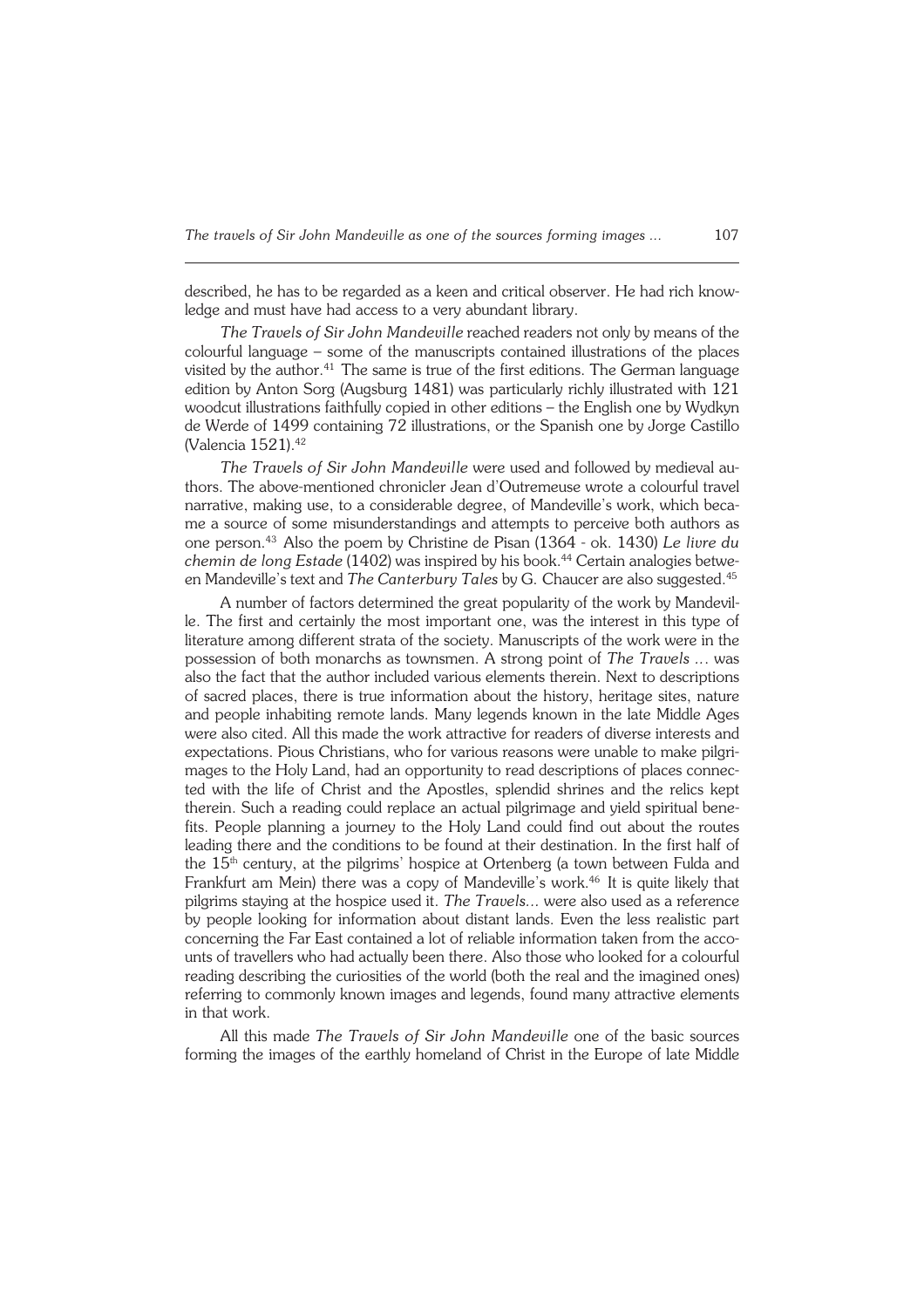described, he has to be regarded as a keen and critical observer. He had rich know− ledge and must have had access to a very abundant library.

*The Travels of Sir John Mandeville* reached readers not only by means of the colourful language – some of the manuscripts contained illustrations of the places visited by the author.<sup>41</sup> The same is true of the first editions. The German language edition by Anton Sorg (Augsburg 1481) was particularly richly illustrated with 121 woodcut illustrations faithfully copied in other editions – the English one by Wydkyn de Werde of 1499 containing 72 illustrations, or the Spanish one by Jorge Castillo (Valencia 1521).<sup>42</sup>

*The Travels of Sir John Mandeville* were used and followed by medieval au− thors. The above−mentioned chronicler Jean d'Outremeuse wrote a colourful travel narrative, making use, to a considerable degree, of Mandeville's work, which beca− me a source of some misunderstandings and attempts to perceive both authors as one person.43 Also the poem by Christine de Pisan (1364 − ok. 1430) *Le livre du chemin de long Estade* (1402) was inspired by his book.<sup>44</sup> Certain analogies between Mandeville's text and *The Canterbury Tales* by G.Chaucer are also suggested.<sup>45</sup>

A number of factors determined the great popularity of the work by Mandevil− le. The first and certainly the most important one, was the interest in this type of literature among different strata of the society. Manuscripts of the work were in the possession of both monarchs as townsmen. A strong point of *The Travels ..*. was also the fact that the author included various elements therein. Next to descriptions of sacred places, there is true information about the history, heritage sites, nature and people inhabiting remote lands. Many legends known in the late Middle Ages were also cited. All this made the work attractive for readers of diverse interests and expectations. Pious Christians, who for various reasons were unable to make pilgri− mages to the Holy Land, had an opportunity to read descriptions of places connec− ted with the life of Christ and the Apostles, splendid shrines and the relics kept therein. Such a reading could replace an actual pilgrimage and yield spiritual bene− fits. People planning a journey to the Holy Land could find out about the routes leading there and the conditions to be found at their destination. In the first half of the 15<sup>th</sup> century, at the pilgrims' hospice at Ortenberg (a town between Fulda and Frankfurt am Mein) there was a copy of Mandeville's work.<sup>46</sup> It is quite likely that pilgrims staying at the hospice used it. *The Travels...* were also used as a reference by people looking for information about distant lands. Even the less realistic part concerning the Far East contained a lot of reliable information taken from the acco− unts of travellers who had actually been there. Also those who looked for a colourful reading describing the curiosities of the world (both the real and the imagined ones) referring to commonly known images and legends, found many attractive elements in that work.

All this made *The Travels of Sir John Mandeville* one of the basic sources forming the images of the earthly homeland of Christ in the Europe of late Middle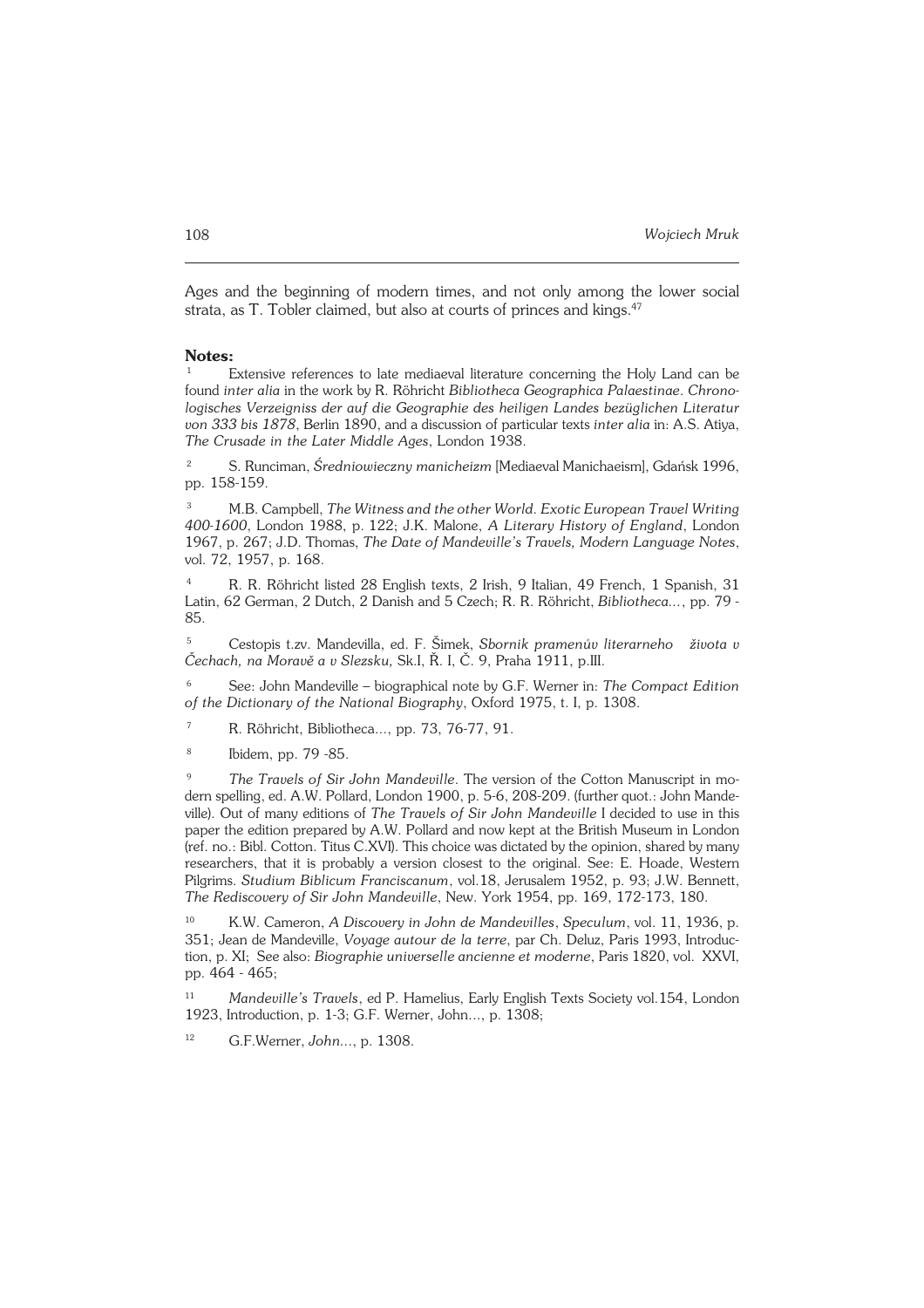Ages and the beginning of modern times, and not only among the lower social strata, as T. Tobler claimed, but also at courts of princes and kings.<sup>47</sup>

## **Notes:**

Extensive references to late mediaeval literature concerning the Holy Land can be found *inter alia* in the work by R. Röhricht *Bibliotheca Geographica Palaestinae*. *Chrono− logisches Verzeigniss der auf die Geographie des heiligen Landes bezüglichen Literatur von 333 bis 1878*, Berlin 1890, and a discussion of particular texts *inter alia* in: A.S. Atiya, *The Crusade in the Later Middle Ages*, London 1938.

<sup>2</sup> S. Runciman, *Średniowieczny manicheizm* [Mediaeval Manichaeism], Gdańsk 1996, pp. 158−159.

<sup>3</sup> M.B. Campbell, *The Witness and the other World. Exotic European Travel Writing 400−1600*, London 1988, p.122; J.K. Malone, *A Literary History of England*, London 1967, p. 267; J.D. Thomas, *The Date of Mandeville's Travels, Modern Language Notes*, vol. 72, 1957, p. 168.

<sup>4</sup> R. R. Röhricht listed 28 English texts, 2 Irish, 9 Italian, 49 French, 1 Spanish, 31 Latin, 62 German, 2 Dutch, 2 Danish and 5 Czech; R. R. Röhricht, *Bibliotheca...*, pp. 79 − 85.

<sup>5</sup> Cestopis t.zv. Mandevilla, ed. F. Šimek, *Sbornik pramenův literarneho života v Čechach, na Moravě a v Slezsku,* Sk.I, Ř. I, Č. 9, Praha 1911, p.III.

<sup>6</sup> See: John Mandeville – biographical note by G.F. Werner in: *The Compact Edition of the Dictionary of the National Biography*, Oxford 1975, t. I, p. 1308.

<sup>7</sup> R. Röhricht, Bibliotheca..., pp. 73, 76−77, 91.

8 Ibidem, pp. 79 −85.

<sup>9</sup> *The Travels of Sir John Mandeville*. The version of the Cotton Manuscript in mo− dern spelling, ed. A.W. Pollard, London 1900, p. 5−6, 208−209. (further quot.: John Mande− ville). Out of many editions of *The Travels of Sir John Mandeville* I decided to use in this paper the edition prepared by A.W. Pollard and now kept at the British Museum in London (ref. no.: Bibl. Cotton. Titus C.XVI). This choice was dictated by the opinion, shared by many researchers, that it is probably a version closest to the original. See: E. Hoade, Western Pilgrims. *Studium Biblicum Franciscanum*, vol.18, Jerusalem 1952, p. 93; J.W. Bennett, *The Rediscovery of Sir John Mandeville*, New. York 1954, pp. 169, 172−173, 180.

<sup>10</sup> K.W. Cameron, *A Discovery in John de Mandevilles*, *Speculum*, vol. 11, 1936, p. 351; Jean de Mandeville, *Voyage autour de la terre*, par Ch. Deluz, Paris 1993, Introduc− tion, p. XI; See also: *Biographie universelle ancienne et moderne*, Paris 1820, vol. XXVI, pp. 464 − 465;

<sup>11</sup> *Mandeville's Travels*, ed P. Hamelius, Early English Texts Society vol.154, London 1923, Introduction, p. 1−3; G.F. Werner, John..., p. 1308;

<sup>12</sup> G.F.Werner, *John...*, p. 1308.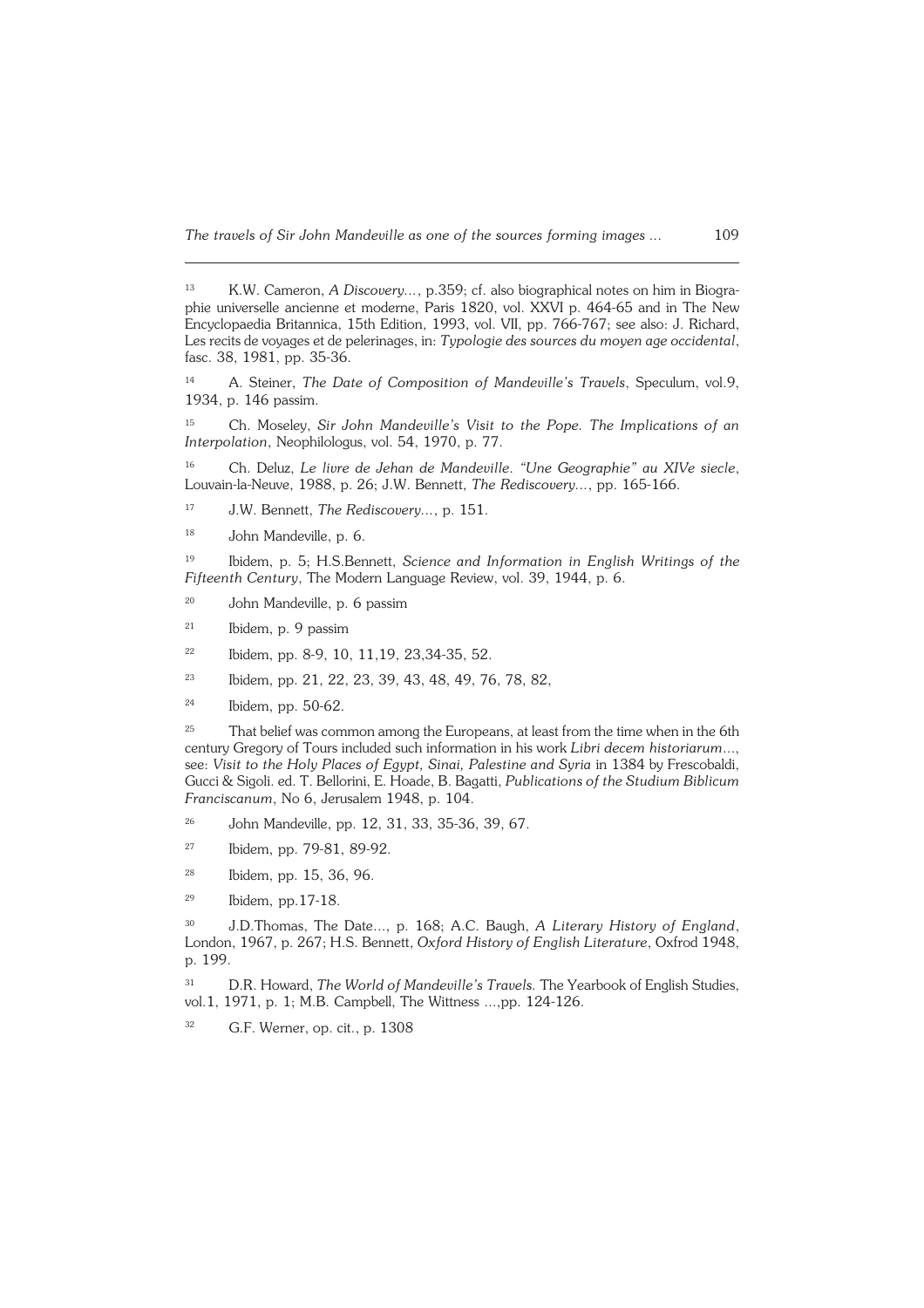*The travels of Sir John Mandeville as one of the sources forming images ...* 109

<sup>14</sup> A. Steiner, *The Date of Composition of Mandeville's Travels*, Speculum, vol.9, 1934, p. 146 passim.

<sup>15</sup> Ch. Moseley, *Sir John Mandeville's Visit to the Pope. The Implications of an Interpolation*, Neophilologus, vol. 54, 1970, p. 77.

<sup>16</sup> Ch. Deluz, *Le livre de Jehan de Mandeville*. *"Une Geographie" au XIVe siecle*, Louvain−la−Neuve, 1988, p.26; J.W. Bennett, *The Rediscovery...*, pp. 165−166.

<sup>17</sup> J.W. Bennett, *The Rediscovery...*, p. 151.

<sup>18</sup> John Mandeville, p. 6.

<sup>19</sup> Ibidem, p. 5; H.S.Bennett, *Science and Information in English Writings of the Fifteenth Century*, The Modern Language Review, vol. 39, 1944, p. 6.

<sup>20</sup> John Mandeville, p. 6 passim

<sup>21</sup> Ibidem, p. 9 passim

<sup>22</sup> Ibidem, pp. 8-9, 10, 11,19, 23,34-35, 52.

<sup>23</sup> Ibidem, pp. 21, 22, 23, 39, 43, 48, 49, 76, 78, 82,

<sup>24</sup> Ibidem, pp. 50−62.

 $25$  That belief was common among the Europeans, at least from the time when in the 6th century Gregory of Tours included such information in his work *Libri decem historiarum*..., see: Visit to the Holy Places of Egypt, Sinai, Palestine and Syria in 1384 by Frescobaldi, Gucci & Sigoli. ed. T. Bellorini, E. Hoade, B. Bagatti, *Publications of the Studium Biblicum Franciscanum*, No 6, Jerusalem 1948, p. 104.

<sup>26</sup> John Mandeville, pp. 12, 31, 33, 35−36, 39, 67.

<sup>27</sup> Ibidem, pp. 79−81, 89−92.

<sup>28</sup> Ibidem, pp. 15, 36, 96.

<sup>29</sup> Ibidem, pp.17−18.

<sup>30</sup> J.D.Thomas, The Date..., p. 168; A.C. Baugh, *A Literary History of England*, London, 1967, p. 267; H.S. Bennett, *Oxford History of English Literature*, Oxfrod 1948, p. 199.

<sup>31</sup> D.R. Howard, *The World of Mandeville's Travels.* The Yearbook of English Studies, vol.1, 1971, p. 1; M.B. Campbell, The Wittness ...,pp. 124−126.

<sup>32</sup> G.F. Werner, op. cit., p. 1308

<sup>13</sup> K.W. Cameron, *A Discovery...*, p.359; cf. also biographical notes on him in Biogra− phie universelle ancienne et moderne, Paris 1820, vol. XXVI p. 464−65 and in The New Encyclopaedia Britannica, 15th Edition, 1993, vol. VII, pp. 766−767; see also: J. Richard, Les recits de voyages et de pelerinages, in: *Typologie des sources du moyen age occidental*, fasc. 38, 1981, pp. 35−36.